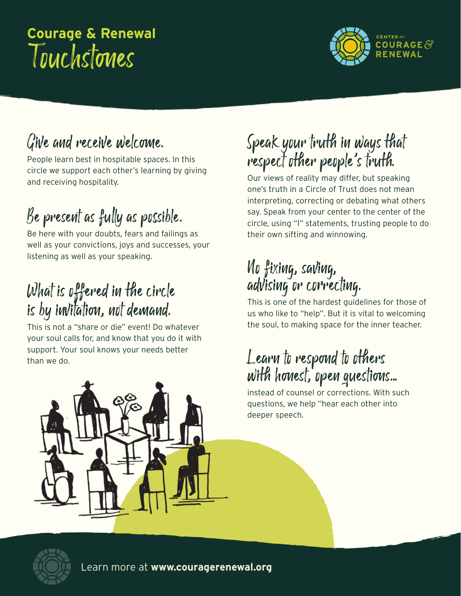# Touchstones **Courage & Renewal**



### Give and receive welcome.

People learn best in hospitable spaces. In this circle we support each other's learning by giving and receiving hospitality.

# Be present as fully as possible.

Be here with your doubts, fears and failings as well as your convictions, joys and successes, your listening as well as your speaking.

#### What is offered in the circle is by invitation, not demand.

This is not a "share or die" event! Do whatever your soul calls for, and know that you do it with support. Your soul knows your needs better than we do.

### Speak your truth in ways that respect other people's truth.

Our views of reality may differ, but speaking one's truth in a Circle of Trust does not mean interpreting, correcting or debating what others say. Speak from your center to the center of the circle, using "I" statements, trusting people to do their own sifting and winnowing.

#### No fixing, saving, advising or correcting.

This is one of the hardest guidelines for those of us who like to "help". But it is vital to welcoming the soul, to making space for the inner teacher.

#### Learn to respond to others with honest, open questions...

instead of counsel or corrections. With such questions, we help "hear each other into deeper speech.